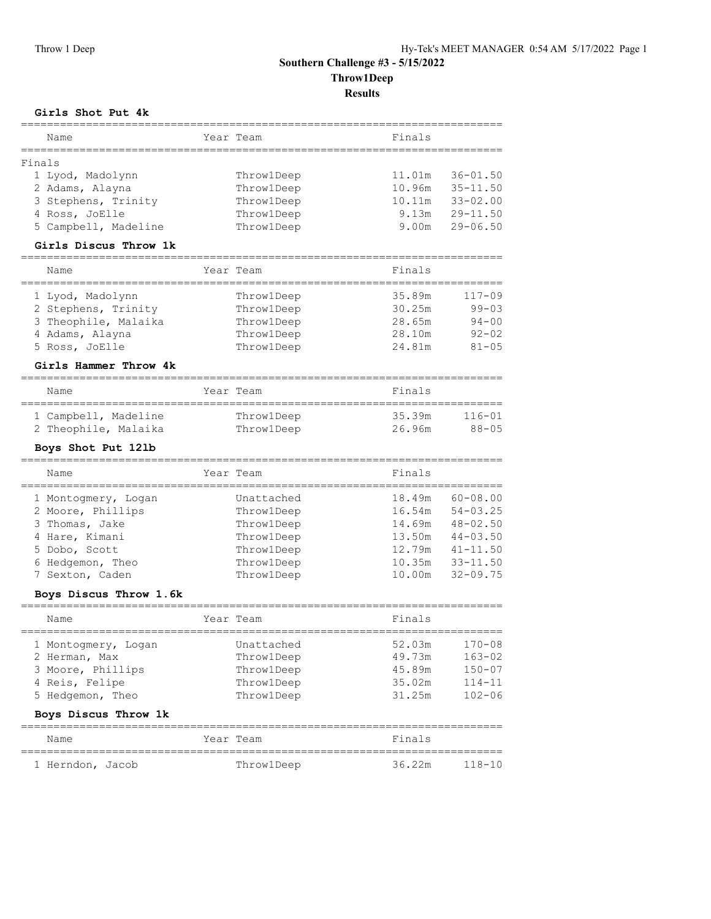## **Southern Challenge #3 - 5/15/2022 Throw1Deep**

**Results**

## **Girls Shot Put 4k**

| Name                   |            | Year Team  | Finals |              |
|------------------------|------------|------------|--------|--------------|
| Finals                 |            |            |        |              |
| 1 Lyod, Madolynn       |            | Throw1Deep | 11.01m | $36 - 01.50$ |
| 2 Adams, Alayna        |            | Throw1Deep | 10.96m | $35 - 11.50$ |
| 3 Stephens, Trinity    |            | Throw1Deep | 10.11m | $33 - 02.00$ |
| 4 Ross, JoElle         |            | Throw1Deep | 9.13m  | $29 - 11.50$ |
| 5 Campbell, Madeline   |            | ThrowlDeep | 9.00m  | $29 - 06.50$ |
| Girls Discus Throw 1k  |            |            |        |              |
|                        |            |            |        |              |
| Name<br>============== | :========= | Year Team  | Finals |              |
| 1 Lyod, Madolynn       |            | ThrowlDeep | 35.89m | 117-09       |
| 2 Stephens, Trinity    |            | ThrowlDeep | 30.25m | $99 - 03$    |
| 3 Theophile, Malaika   |            | ThrowlDeep | 28.65m | $94 - 00$    |
| 4 Adams, Alayna        |            | Throw1Deep | 28.10m | $92 - 02$    |
| 5 Ross, JoElle         |            | Throw1Deep | 24.81m | $81 - 05$    |
| Girls Hammer Throw 4k  |            |            |        |              |
| Name                   |            | Year Team  | Finals |              |
| 1 Campbell, Madeline   |            | ThrowlDeep | 35.39m | $116 - 01$   |
| 2 Theophile, Malaika   |            | Throw1Deep | 26.96m | $88 - 05$    |
| Boys Shot Put 121b     |            |            |        |              |
| ========<br>Name       |            | Year Team  | Finals |              |
| 1 Montogmery, Logan    |            | Unattached | 18.49m | $60 - 08.00$ |
| 2 Moore, Phillips      |            | ThrowlDeep | 16.54m | $54 - 03.25$ |
| 3 Thomas, Jake         |            | Throw1Deep | 14.69m | $48 - 02.50$ |
| 4 Hare, Kimani         |            | Throw1Deep | 13.50m | $44 - 03.50$ |
| 5 Dobo, Scott          |            | ThrowlDeep | 12.79m | $41 - 11.50$ |
| 6 Hedgemon, Theo       |            | Throw1Deep | 10.35m | $33 - 11.50$ |
| 7 Sexton, Caden        |            | ThrowlDeep | 10.00m | $32 - 09.75$ |
|                        |            |            |        |              |
| Boys Discus Throw 1.6k |            |            |        |              |
| Name                   |            | Year Team  | Finals |              |
| 1 Montogmery, Logan    |            | Unattached | 52.03m | 170-08       |
| 2 Herman, Max          |            | Throw1Deep | 49.73m | $163 - 02$   |
| 3 Moore, Phillips      |            | ThrowlDeep | 45.89m | $150 - 07$   |
| 4 Reis, Felipe         |            | ThrowlDeep | 35.02m | $114 - 11$   |
| 5 Hedgemon, Theo       |            | Throw1Deep | 31.25m | $102 - 06$   |
| Boys Discus Throw 1k   |            |            |        |              |
| Name                   |            | Year Team  | Finals |              |
| 1 Herndon, Jacob       |            | Throw1Deep | 36.22m | $118 - 10$   |
|                        |            |            |        |              |